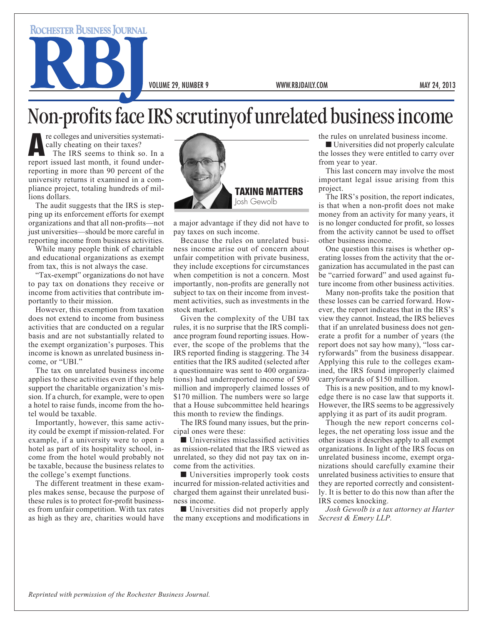**ROCHESTER BUSINESS JOURNAL** 

VOLUME 29, NUMBER 9 WWW.RBJDAILY.COM MAY 24, 2013

## Non-profits face IRS scrutinyof unrelated business income

re colleges and universities systematically cheating on their taxes? The IRS seems to think so. In a report issued last month, it found underreporting in more than 90 percent of the university returns it examined in a compliance project, totaling hundreds of millions dollars.

The audit suggests that the IRS is stepping up its enforcement efforts for exempt organizations and that all non-profits—not just universities—should be more careful in reporting income from business activities.

While many people think of charitable and educational organizations as exempt from tax, this is not always the case.

"Tax-exempt" organizations do not have to pay tax on donations they receive or income from activities that contribute importantly to their mission.

However, this exemption from taxation does not extend to income from business activities that are conducted on a regular basis and are not substantially related to the exempt organization's purposes. This income is known as unrelated business income, or "UBI."

The tax on unrelated business income applies to these activities even if they help support the charitable organization's mission. If a church, for example, were to open a hotel to raise funds, income from the hotel would be taxable.

Importantly, however, this same activity could be exempt if mission-related. For example, if a university were to open a hotel as part of its hospitality school, income from the hotel would probably not be taxable, because the business relates to the college's exempt functions.

The different treatment in these examples makes sense, because the purpose of these rules is to protect for-profit businesses from unfair competition. With tax rates as high as they are, charities would have



a major advantage if they did not have to pay taxes on such income.

Because the rules on unrelated business income arise out of concern about unfair competition with private business, they include exceptions for circumstances when competition is not a concern. Most importantly, non-profits are generally not subject to tax on their income from investment activities, such as investments in the stock market.

Given the complexity of the UBI tax rules, it is no surprise that the IRS compliance program found reporting issues. However, the scope of the problems that the IRS reported finding is staggering. The 34 entities that the IRS audited (selected after a questionnaire was sent to 400 organizations) had underreported income of \$90 million and improperly claimed losses of \$170 million. The numbers were so large that a House subcommittee held hearings this month to review the findings.

The IRS found many issues, but the principal ones were these:

 $\blacksquare$  Universities misclassified activities as mission-related that the IRS viewed as unrelated, so they did not pay tax on income from the activities.

 $\blacksquare$  Universities improperly took costs incurred for mission-related activities and charged them against their unrelated business income.

■ Universities did not properly apply the many exceptions and modifications in the rules on unrelated business income.

 $\blacksquare$  Universities did not properly calculate the losses they were entitled to carry over from year to year.

This last concern may involve the most important legal issue arising from this project.

The IRS's position, the report indicates, is that when a non-profit does not make money from an activity for many years, it is no longer conducted for profit, so losses from the activity cannot be used to offset other business income.

One question this raises is whether operating losses from the activity that the organization has accumulated in the past can be "carried forward" and used against future income from other business activities.

Many non-profits take the position that these losses can be carried forward. However, the report indicates that in the IRS's view they cannot. Instead, the IRS believes that if an unrelated business does not generate a profit for a number of years (the report does not say how many), "loss carryforwards" from the business disappear. Applying this rule to the colleges examined, the IRS found improperly claimed carryforwards of \$150 million.

This is a new position, and to my knowledge there is no case law that supports it. However, the IRS seems to be aggressively applying it as part of its audit program.

Though the new report concerns colleges, the net operating loss issue and the other issues it describes apply to all exempt organizations. In light of the IRS focus on unrelated business income, exempt organizations should carefully examine their unrelated business activities to ensure that they are reported correctly and consistently. It is better to do this now than after the IRS comes knocking.

*Josh Gewolb is a tax attorney at Harter Secrest & Emery LLP.*